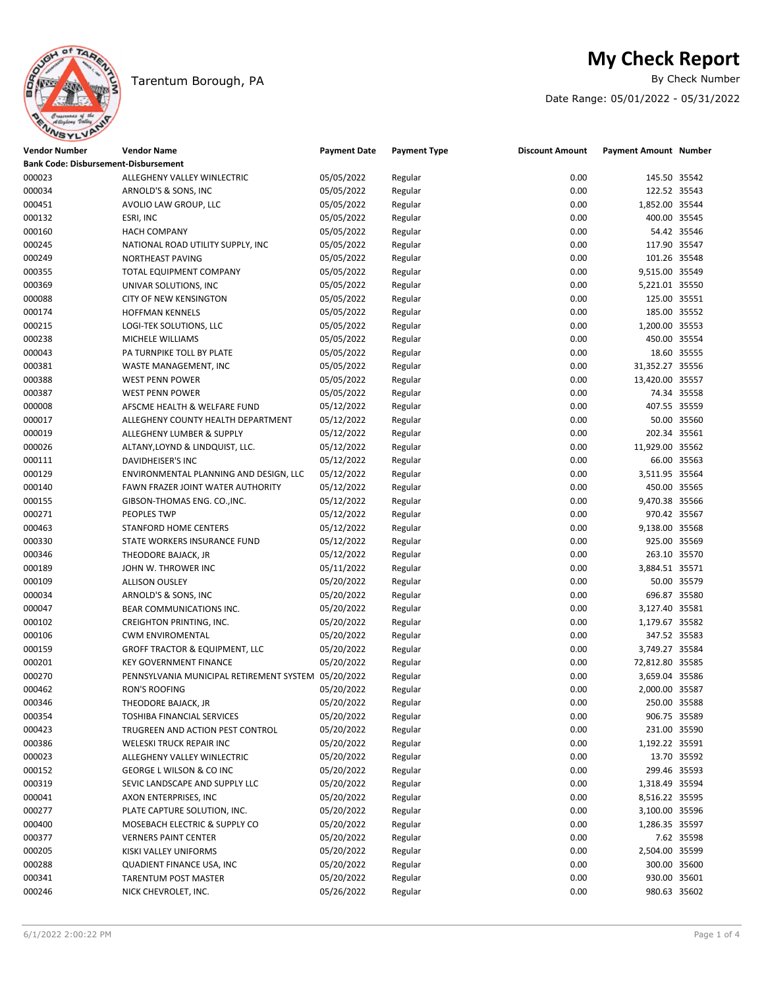

## Tarentum Borough, PA

# **My Check Report**<br>By Check Number

Date Range: 05/01/2022 - 05/31/2022

| Vendor Number | <b>Vendor Name</b>                                  | <b>Payment Date</b> | <b>Payment Type</b> | <b>Discount Amount</b> | Payment Amount Number |             |  |
|---------------|-----------------------------------------------------|---------------------|---------------------|------------------------|-----------------------|-------------|--|
|               | <b>Bank Code: Disbursement-Disbursement</b>         |                     |                     |                        |                       |             |  |
| 000023        | ALLEGHENY VALLEY WINLECTRIC                         | 05/05/2022          | Regular             | 0.00                   | 145.50 35542          |             |  |
| 000034        | ARNOLD'S & SONS, INC                                | 05/05/2022          | Regular             | 0.00                   | 122.52 35543          |             |  |
| 000451        | AVOLIO LAW GROUP, LLC                               | 05/05/2022          | Regular             | 0.00                   | 1,852.00 35544        |             |  |
| 000132        | ESRI, INC                                           | 05/05/2022          | Regular             | 0.00                   | 400.00 35545          |             |  |
| 000160        | <b>HACH COMPANY</b>                                 | 05/05/2022          | Regular             | 0.00                   |                       | 54.42 35546 |  |
| 000245        | NATIONAL ROAD UTILITY SUPPLY, INC                   | 05/05/2022          | Regular             | 0.00                   | 117.90 35547          |             |  |
| 000249        | NORTHEAST PAVING                                    | 05/05/2022          | Regular             | 0.00                   | 101.26 35548          |             |  |
| 000355        | TOTAL EQUIPMENT COMPANY                             | 05/05/2022          | Regular             | 0.00                   | 9,515.00 35549        |             |  |
| 000369        | UNIVAR SOLUTIONS, INC                               | 05/05/2022          | Regular             | 0.00                   | 5,221.01 35550        |             |  |
| 000088        | CITY OF NEW KENSINGTON                              | 05/05/2022          | Regular             | 0.00                   | 125.00 35551          |             |  |
| 000174        | <b>HOFFMAN KENNELS</b>                              | 05/05/2022          | Regular             | 0.00                   | 185.00 35552          |             |  |
| 000215        | LOGI-TEK SOLUTIONS, LLC                             | 05/05/2022          | Regular             | 0.00                   | 1,200.00 35553        |             |  |
| 000238        | MICHELE WILLIAMS                                    | 05/05/2022          | Regular             | 0.00                   | 450.00 35554          |             |  |
| 000043        | PA TURNPIKE TOLL BY PLATE                           | 05/05/2022          | Regular             | 0.00                   |                       | 18.60 35555 |  |
| 000381        | WASTE MANAGEMENT, INC                               | 05/05/2022          | Regular             | 0.00                   | 31,352.27 35556       |             |  |
| 000388        | <b>WEST PENN POWER</b>                              | 05/05/2022          | Regular             | 0.00                   | 13,420.00 35557       |             |  |
| 000387        | <b>WEST PENN POWER</b>                              | 05/05/2022          | Regular             | 0.00                   |                       | 74.34 35558 |  |
| 000008        | AFSCME HEALTH & WELFARE FUND                        | 05/12/2022          | Regular             | 0.00                   | 407.55 35559          |             |  |
| 000017        | ALLEGHENY COUNTY HEALTH DEPARTMENT                  | 05/12/2022          | Regular             | 0.00                   |                       | 50.00 35560 |  |
| 000019        | ALLEGHENY LUMBER & SUPPLY                           | 05/12/2022          | Regular             | 0.00                   | 202.34 35561          |             |  |
| 000026        | ALTANY, LOYND & LINDQUIST, LLC.                     | 05/12/2022          | Regular             | 0.00                   | 11,929.00 35562       |             |  |
| 000111        | DAVIDHEISER'S INC                                   | 05/12/2022          | Regular             | 0.00                   |                       | 66.00 35563 |  |
| 000129        | ENVIRONMENTAL PLANNING AND DESIGN, LLC              | 05/12/2022          | Regular             | 0.00                   | 3,511.95 35564        |             |  |
| 000140        | FAWN FRAZER JOINT WATER AUTHORITY                   | 05/12/2022          | Regular             | 0.00                   | 450.00 35565          |             |  |
| 000155        | GIBSON-THOMAS ENG. CO., INC.                        | 05/12/2022          | Regular             | 0.00                   | 9,470.38 35566        |             |  |
| 000271        | PEOPLES TWP                                         | 05/12/2022          | Regular             | 0.00                   | 970.42 35567          |             |  |
| 000463        | STANFORD HOME CENTERS                               | 05/12/2022          | Regular             | 0.00                   | 9,138.00 35568        |             |  |
| 000330        | STATE WORKERS INSURANCE FUND                        | 05/12/2022          | Regular             | 0.00                   | 925.00 35569          |             |  |
| 000346        | THEODORE BAJACK, JR                                 | 05/12/2022          | Regular             | 0.00                   | 263.10 35570          |             |  |
| 000189        | JOHN W. THROWER INC                                 | 05/11/2022          | Regular             | 0.00                   | 3,884.51 35571        |             |  |
| 000109        | <b>ALLISON OUSLEY</b>                               | 05/20/2022          | Regular             | 0.00                   |                       | 50.00 35579 |  |
| 000034        | ARNOLD'S & SONS, INC                                | 05/20/2022          | Regular             | 0.00                   | 696.87 35580          |             |  |
| 000047        | BEAR COMMUNICATIONS INC.                            | 05/20/2022          | Regular             | 0.00                   | 3,127.40 35581        |             |  |
| 000102        | <b>CREIGHTON PRINTING, INC.</b>                     | 05/20/2022          | Regular             | 0.00                   | 1,179.67 35582        |             |  |
| 000106        | <b>CWM ENVIROMENTAL</b>                             | 05/20/2022          | Regular             | 0.00                   | 347.52 35583          |             |  |
| 000159        | <b>GROFF TRACTOR &amp; EQUIPMENT, LLC</b>           | 05/20/2022          | Regular             | 0.00                   | 3,749.27 35584        |             |  |
| 000201        | <b>KEY GOVERNMENT FINANCE</b>                       | 05/20/2022          | Regular             | 0.00                   | 72,812.80 35585       |             |  |
| 000270        | PENNSYLVANIA MUNICIPAL RETIREMENT SYSTEM 05/20/2022 |                     | Regular             | 0.00                   | 3,659.04 35586        |             |  |
| 000462        | <b>RON'S ROOFING</b>                                | 05/20/2022          | Regular             | 0.00                   | 2,000.00 35587        |             |  |
| 000346        | THEODORE BAJACK, JR                                 | 05/20/2022          | Regular             | 0.00                   | 250.00 35588          |             |  |
| 000354        | TOSHIBA FINANCIAL SERVICES                          | 05/20/2022          | Regular             | 0.00                   | 906.75 35589          |             |  |
| 000423        | TRUGREEN AND ACTION PEST CONTROL                    | 05/20/2022          | Regular             | 0.00                   | 231.00 35590          |             |  |
| 000386        | WELESKI TRUCK REPAIR INC                            | 05/20/2022          | Regular             | 0.00                   | 1,192.22 35591        |             |  |
| 000023        | ALLEGHENY VALLEY WINLECTRIC                         | 05/20/2022          | Regular             | 0.00                   |                       | 13.70 35592 |  |
| 000152        | GEORGE L WILSON & CO INC                            | 05/20/2022          | Regular             | 0.00                   | 299.46 35593          |             |  |
| 000319        | SEVIC LANDSCAPE AND SUPPLY LLC                      | 05/20/2022          | Regular             | 0.00                   | 1,318.49 35594        |             |  |
| 000041        | AXON ENTERPRISES, INC                               | 05/20/2022          | Regular             | 0.00                   | 8,516.22 35595        |             |  |
| 000277        | PLATE CAPTURE SOLUTION, INC.                        | 05/20/2022          | Regular             | 0.00                   | 3,100.00 35596        |             |  |
| 000400        | MOSEBACH ELECTRIC & SUPPLY CO                       | 05/20/2022          | Regular             | 0.00                   | 1,286.35 35597        |             |  |
| 000377        | <b>VERNERS PAINT CENTER</b>                         | 05/20/2022          | Regular             | 0.00                   |                       | 7.62 35598  |  |
| 000205        | KISKI VALLEY UNIFORMS                               | 05/20/2022          | Regular             | 0.00                   | 2,504.00 35599        |             |  |
| 000288        | QUADIENT FINANCE USA, INC                           | 05/20/2022          | Regular             | 0.00                   | 300.00 35600          |             |  |
| 000341        | TARENTUM POST MASTER                                | 05/20/2022          | Regular             | 0.00                   | 930.00 35601          |             |  |
| 000246        | NICK CHEVROLET, INC.                                | 05/26/2022          | Regular             | 0.00                   | 980.63 35602          |             |  |
|               |                                                     |                     |                     |                        |                       |             |  |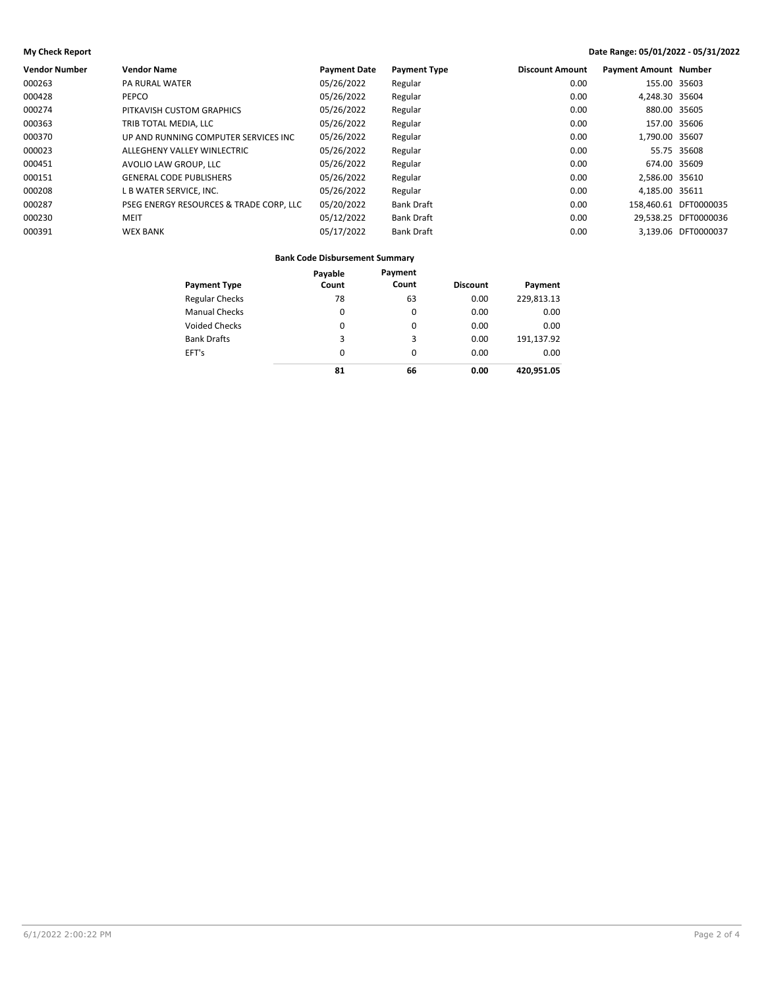### **My Check Report Date Range: 05/01/2022 - 05/31/2022**

| Vendor Number | <b>Vendor Name</b>                      | <b>Payment Date</b> | <b>Payment Type</b> | <b>Discount Amount</b> | <b>Payment Amount Number</b> |                       |
|---------------|-----------------------------------------|---------------------|---------------------|------------------------|------------------------------|-----------------------|
| 000263        | <b>PA RURAL WATER</b>                   | 05/26/2022          | Regular             | 0.00                   | 155.00 35603                 |                       |
| 000428        | PEPCO                                   | 05/26/2022          | Regular             | 0.00                   | 4,248.30 35604               |                       |
| 000274        | PITKAVISH CUSTOM GRAPHICS               | 05/26/2022          | Regular             | 0.00                   | 880.00 35605                 |                       |
| 000363        | TRIB TOTAL MEDIA. LLC                   | 05/26/2022          | Regular             | 0.00                   | 157.00 35606                 |                       |
| 000370        | UP AND RUNNING COMPUTER SERVICES INC.   | 05/26/2022          | Regular             | 0.00                   | 1,790.00 35607               |                       |
| 000023        | ALLEGHENY VALLEY WINLECTRIC             | 05/26/2022          | Regular             | 0.00                   |                              | 55.75 35608           |
| 000451        | AVOLIO LAW GROUP. LLC                   | 05/26/2022          | Regular             | 0.00                   | 674.00 35609                 |                       |
| 000151        | <b>GENERAL CODE PUBLISHERS</b>          | 05/26/2022          | Regular             | 0.00                   | 2.586.00 35610               |                       |
| 000208        | L B WATER SERVICE, INC.                 | 05/26/2022          | Regular             | 0.00                   | 4,185.00 35611               |                       |
| 000287        | PSEG ENERGY RESOURCES & TRADE CORP, LLC | 05/20/2022          | <b>Bank Draft</b>   | 0.00                   |                              | 158.460.61 DFT0000035 |
| 000230        | MEIT                                    | 05/12/2022          | <b>Bank Draft</b>   | 0.00                   |                              | 29.538.25 DFT0000036  |
| 000391        | <b>WEX BANK</b>                         | 05/17/2022          | <b>Bank Draft</b>   | 0.00                   |                              | 3.139.06 DFT0000037   |
|               |                                         |                     |                     |                        |                              |                       |

### **Bank Code Disbursement Summary**

| <b>Payment Type</b>   | Payable<br>Count | Payment<br>Count | <b>Discount</b> | Payment    |
|-----------------------|------------------|------------------|-----------------|------------|
|                       |                  |                  |                 |            |
| <b>Regular Checks</b> | 78               | 63               | 0.00            | 229,813.13 |
| <b>Manual Checks</b>  | 0                | 0                | 0.00            | 0.00       |
| <b>Voided Checks</b>  | 0                | 0                | 0.00            | 0.00       |
| <b>Bank Drafts</b>    | 3                | 3                | 0.00            | 191,137.92 |
| EFT's                 | 0                | 0                | 0.00            | 0.00       |
|                       | 81               | 66               | 0.00            | 420.951.05 |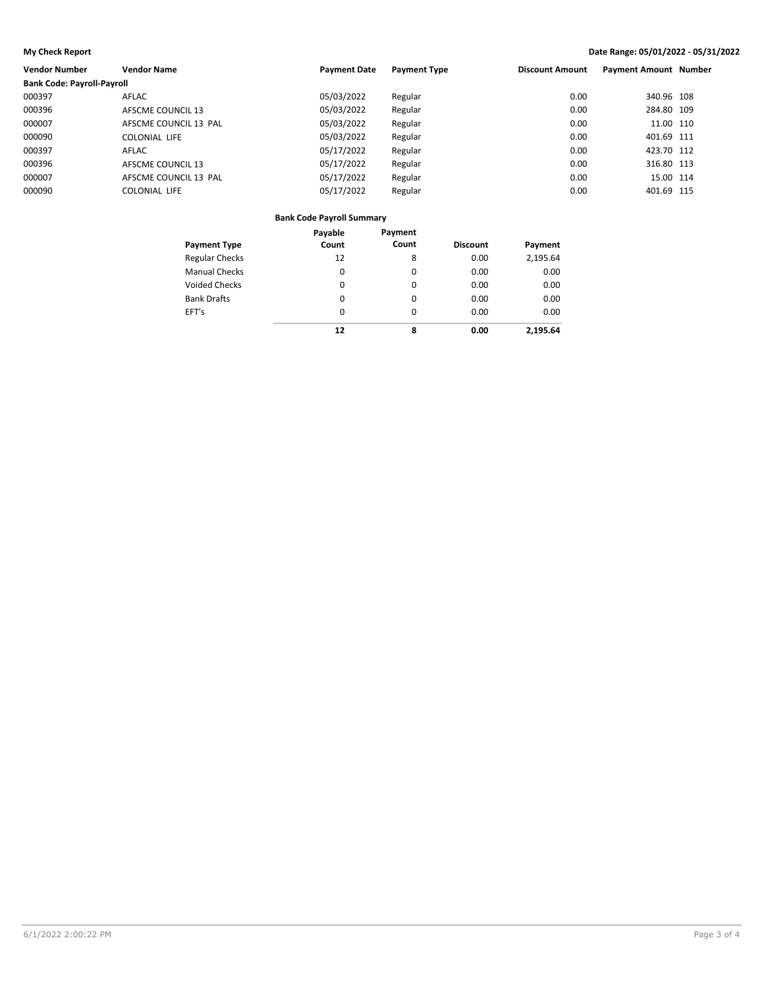### **My Check Report Date Range: 05/01/2022 - 05/31/2022**

| <b>Vendor Number</b>              | <b>Vendor Name</b>    | <b>Payment Date</b> | <b>Payment Type</b> | <b>Discount Amount</b> | <b>Payment Amount Number</b> |  |
|-----------------------------------|-----------------------|---------------------|---------------------|------------------------|------------------------------|--|
| <b>Bank Code: Payroll-Payroll</b> |                       |                     |                     |                        |                              |  |
| 000397                            | <b>AFLAC</b>          | 05/03/2022          | Regular             | 0.00                   | 340.96 108                   |  |
| 000396                            | AFSCME COUNCIL 13     | 05/03/2022          | Regular             | 0.00                   | 284.80 109                   |  |
| 000007                            | AFSCME COUNCIL 13 PAL | 05/03/2022          | Regular             | 0.00                   | 11.00 110                    |  |
| 000090                            | COLONIAL LIFE         | 05/03/2022          | Regular             | 0.00                   | 401.69 111                   |  |
| 000397                            | <b>AFLAC</b>          | 05/17/2022          | Regular             | 0.00                   | 423.70 112                   |  |
| 000396                            | AFSCME COUNCIL 13     | 05/17/2022          | Regular             | 0.00                   | 316.80 113                   |  |
| 000007                            | AFSCME COUNCIL 13 PAL | 05/17/2022          | Regular             | 0.00                   | 15.00 114                    |  |
| 000090                            | COLONIAL LIFE         | 05/17/2022          | Regular             | 0.00                   | 401.69 115                   |  |

### **Bank Code Payroll Summary**

|                       | Payable | Payment |                 |          |
|-----------------------|---------|---------|-----------------|----------|
| <b>Payment Type</b>   | Count   | Count   | <b>Discount</b> | Payment  |
| <b>Regular Checks</b> | 12      | 8       | 0.00            | 2,195.64 |
| <b>Manual Checks</b>  | 0       | 0       | 0.00            | 0.00     |
| <b>Voided Checks</b>  | 0       | 0       | 0.00            | 0.00     |
| <b>Bank Drafts</b>    | 0       | 0       | 0.00            | 0.00     |
| EFT's                 | 0       | 0       | 0.00            | 0.00     |
|                       | 12      | 8       | 0.00            | 2.195.64 |